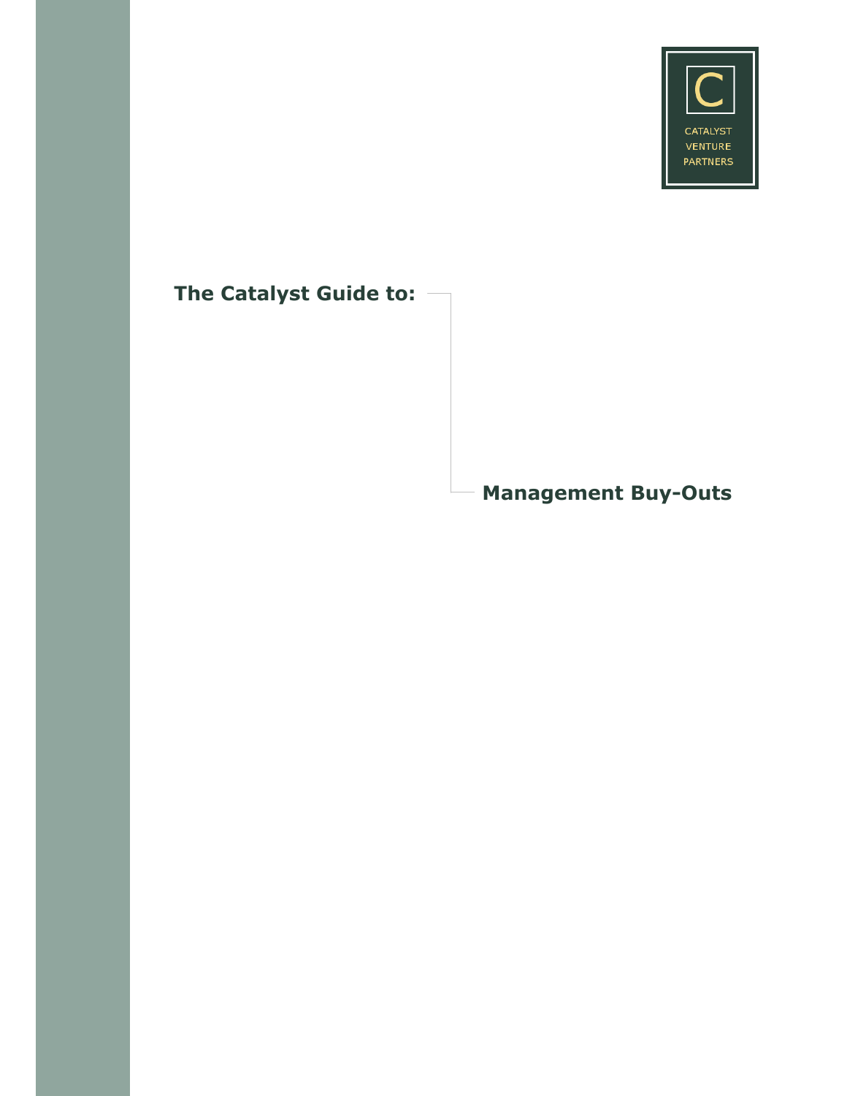

# **The Catalyst Guide to:**

**Management Buy-Outs**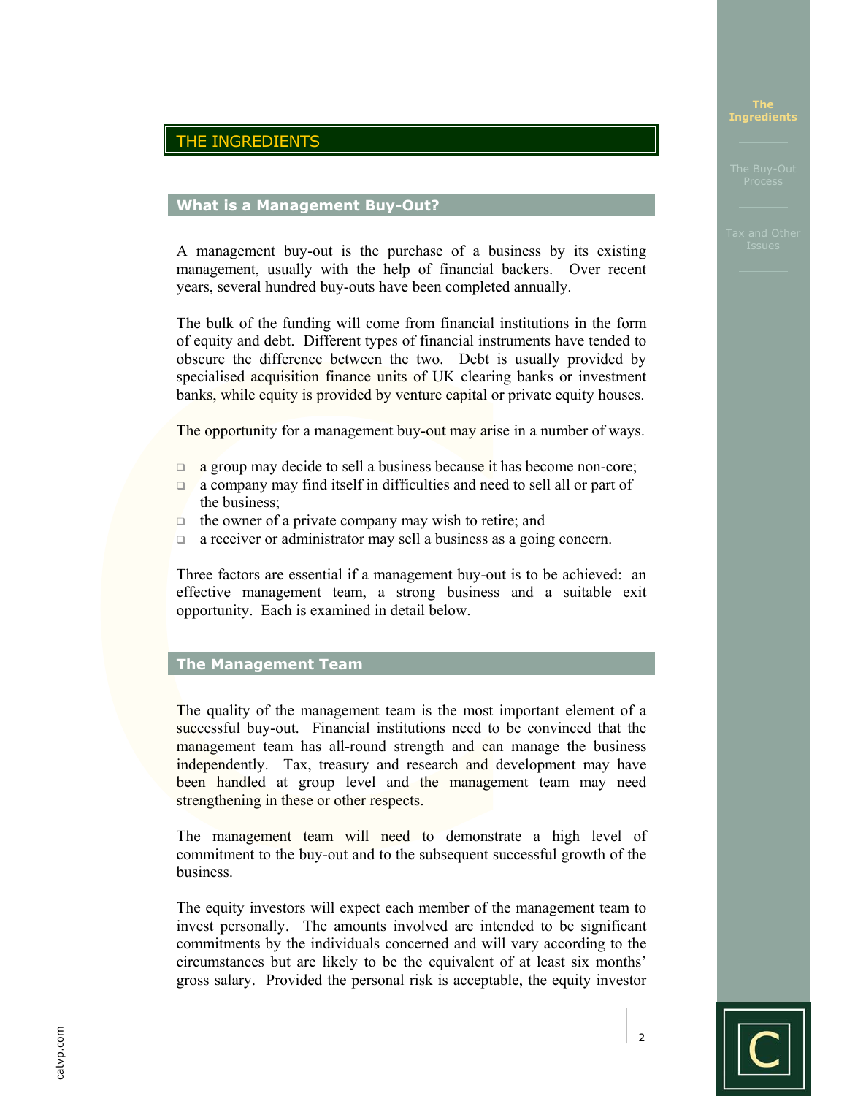# THE INGREDIENTS

# **What is a Management Buy-Out?**

A management buy-out is the purchase of a business by its existing management, usually with the help of financial backers. Over recent years, several hundred buy-outs have been completed annually.

The bulk of the funding will come from financial institutions in the form of equity and debt. Different types of financial instruments have tended to obscure the difference between the two. Debt is usually provided by specialised acquisition finance units of UK clearing banks or investment banks, while equity is provided by venture capital or private equity houses.

The opportunity for a management buy-out may arise in a number of ways.

- $\Box$  a group may decide to sell a business because it has become non-core;
- a company may find itself in difficulties and need to sell all or part of the business;
- $\Box$  the owner of a private company may wish to retire; and
- **a** a receiver or administrator may sell a business as a going concern.

Three factors are essential if a management buy-out is to be achieved: an effective management team, a strong business and a suitable exit opportunity. Each is examined in detail below.

# **The Management Team**

The quality of the management team is the most important element of a successful buy-out. Financial institutions need to be convinced that the management team has all-round strength and can manage the business independently. Tax, treasury and research and development may have been handled at group level and the management team may need strengthening in these or other respects.

The management team will need to demonstrate a high level of commitment to the buy-out and to the subsequent successful growth of the business.

The equity investors will expect each member of the management team to invest personally. The amounts involved are intended to be significant commitments by the individuals concerned and will vary according to the circumstances but are likely to be the equivalent of at least six months' gross salary. Provided the personal risk is acceptable, the equity investor

**The Ingredients**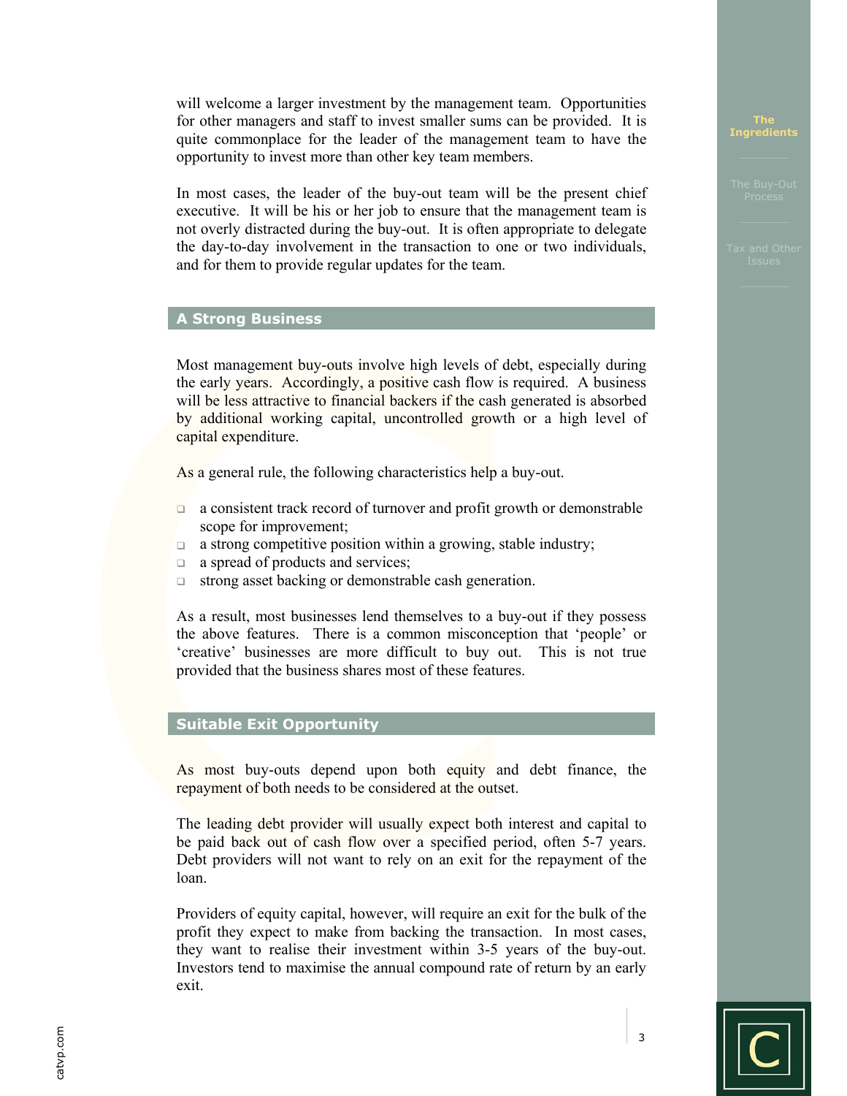will welcome a larger investment by the management team. Opportunities for other managers and staff to invest smaller sums can be provided. It is quite commonplace for the leader of the management team to have the opportunity to invest more than other key team members.

In most cases, the leader of the buy-out team will be the present chief executive. It will be his or her job to ensure that the management team is not overly distracted during the buy-out. It is often appropriate to delegate the day-to-day involvement in the transaction to one or two individuals, and for them to provide regular updates for the team.

# **A Strong Business**

Most management buy-outs involve high levels of debt, especially during the early years. Accordingly, a positive cash flow is required. A business will be less attractive to financial backers if the cash generated is absorbed by additional working capital, uncontrolled growth or a high level of capital expenditure.

As a general rule, the following characteristics help a buy-out.

- $\Box$  a consistent track record of turnover and profit growth or demonstrable scope for improvement;
- $\Box$  a strong competitive position within a growing, stable industry;
- $\Box$  a spread of products and services;
- $\Box$  strong asset backing or demonstrable cash generation.

As a result, most businesses lend themselves to a buy-out if they possess the above features. There is a common misconception that 'people' or 'creative' businesses are more difficult to buy out. This is not true provided that the business shares most of these features.

# **Suitable Exit Opportunity**

As most buy-outs depend upon both equity and debt finance, the repayment of both needs to be considered at the outset.

The leading debt provider will usually expect both interest and capital to be paid back out of cash flow over a specified period, often 5-7 years. Debt providers will not want to rely on an exit for the repayment of the loan.

Providers of equity capital, however, will require an exit for the bulk of the profit they expect to make from backing the transaction. In most cases, they want to realise their investment within 3-5 years of the buy-out. Investors tend to maximise the annual compound rate of return by an early exit.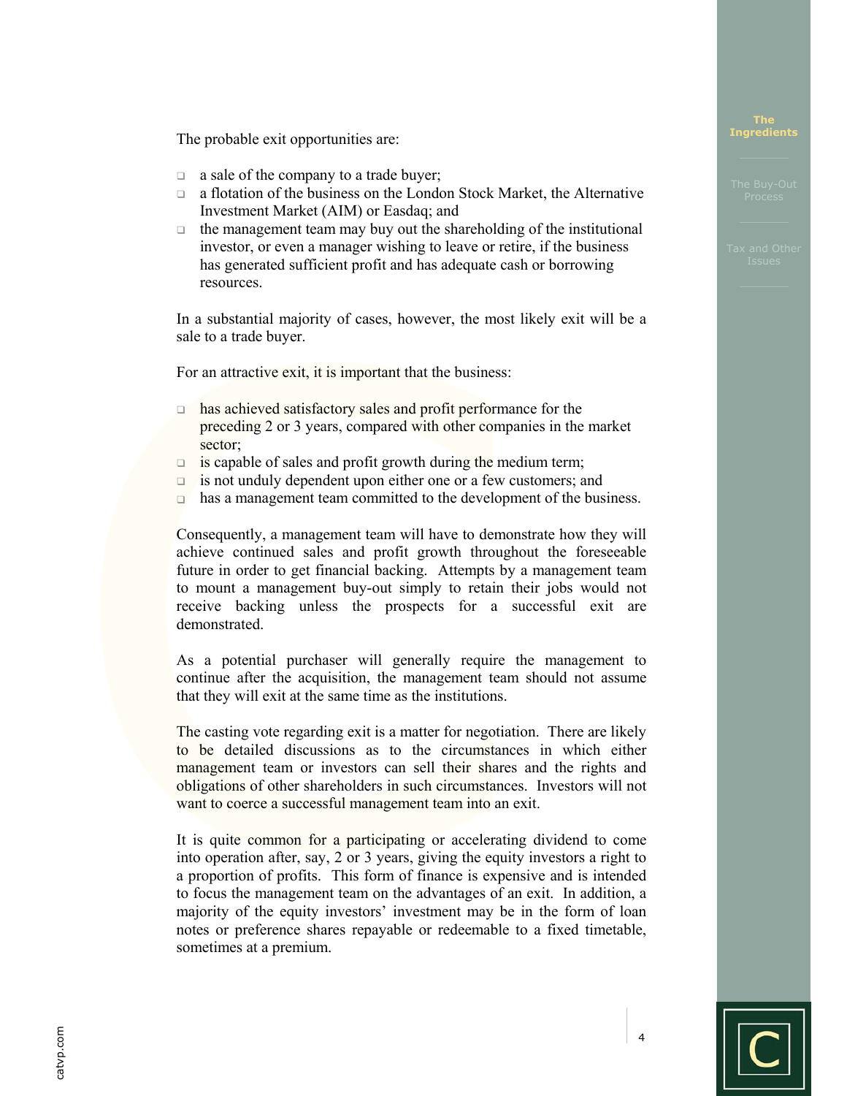The probable exit opportunities are:

- $\Box$  a sale of the company to a trade buyer;
- a flotation of the business on the London Stock Market, the Alternative Investment Market (AIM) or Easdaq; and
- $\Box$  the management team may buy out the shareholding of the institutional investor, or even a manager wishing to leave or retire, if the business has generated sufficient profit and has adequate cash or borrowing resources.

In a substantial majority of cases, however, the most likely exit will be a sale to a trade buyer.

For an attractive exit, it is important that the business:

- has achieved satisfactory sales and profit performance for the preceding 2 or 3 years, compared with other companies in the market sector;
- $\Box$  is capable of sales and profit growth during the medium term;
- $\Box$  is not unduly dependent upon either one or a few customers; and
- has a management team committed to the development of the business.

Consequently, a management team will have to demonstrate how they will achieve continued sales and profit growth throughout the foreseeable future in order to get financial backing. Attempts by a management team to mount a management buy-out simply to retain their jobs would not receive backing unless the prospects for a successful exit are demonstrated.

As a potential purchaser will generally require the management to continue after the acquisition, the management team should not assume that they will exit at the same time as the institutions.

The casting vote regarding exit is a matter for negotiation. There are likely to be detailed discussions as to the circumstances in which either management team or investors can sell their shares and the rights and obligations of other shareholders in such circumstances. Investors will not want to coerce a successful management team into an exit.

It is quite common for a participating or accelerating dividend to come into operation after, say, 2 or 3 years, giving the equity investors a right to a proportion of profits. This form of finance is expensive and is intended to focus the management team on the advantages of an exit. In addition, a majority of the equity investors' investment may be in the form of loan notes or preference shares repayable or redeemable to a fixed timetable, sometimes at a premium.

 $||\mathbf{C}$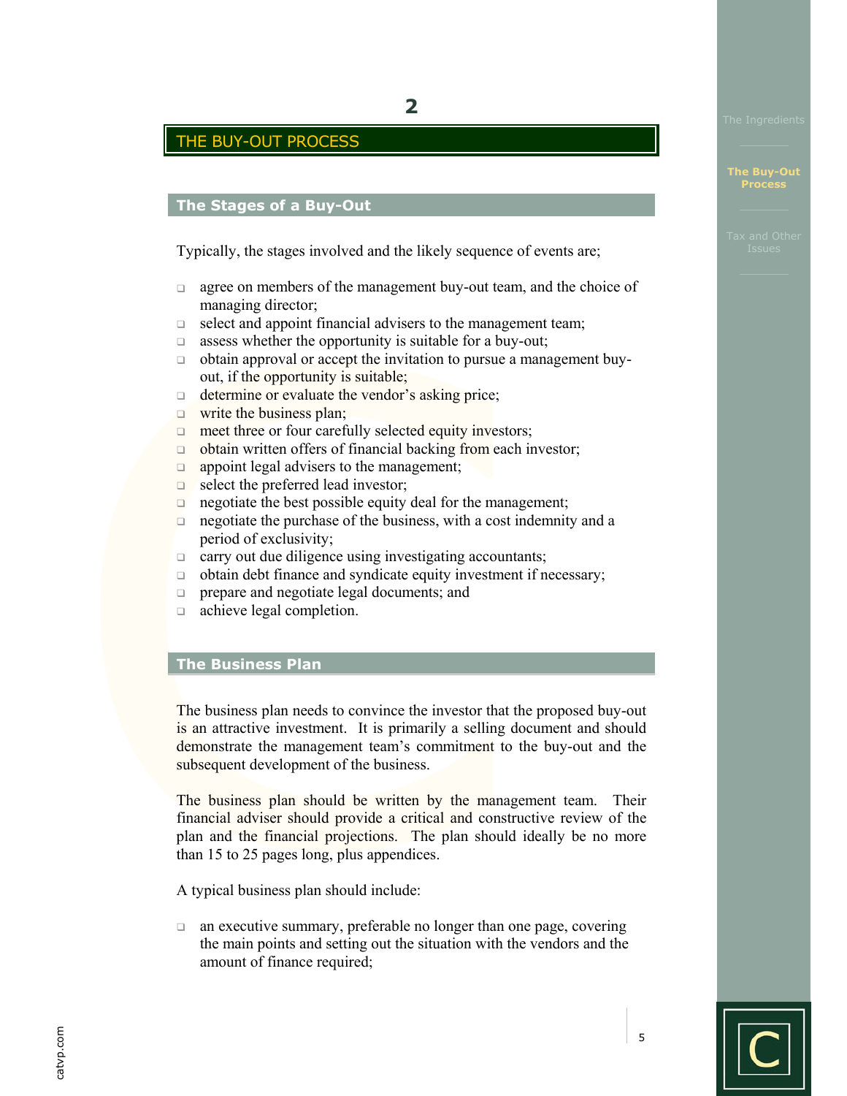# THE BUY-OUT PROCESS

# **The Stages of a Buy-Out**

Typically, the stages involved and the likely sequence of events are;

- $\Box$  agree on members of the management buy-out team, and the choice of managing director;
- $\Box$  select and appoint financial advisers to the management team;
- $\Box$  assess whether the opportunity is suitable for a buy-out;
- $\Box$  obtain approval or accept the invitation to pursue a management buyout, if the opportunity is suitable;
- $\Box$  determine or evaluate the vendor's asking price;
- $\Box$  write the business plan;
- $\Box$  meet three or four carefully selected equity investors;
- $\Box$  obtain written offers of financial backing from each investor;
- $\Box$  appoint legal advisers to the management;
- $\Box$  select the preferred lead investor;
- negotiate the best possible equity deal for the management;
- $\Box$  negotiate the purchase of the business, with a cost indemnity and a period of exclusivity;
- $\Box$  carry out due diligence using investigating accountants;
- $\Box$  obtain debt finance and syndicate equity investment if necessary;
- prepare and negotiate legal documents; and
- achieve legal completion.

# **The Business Plan**

The business plan needs to convince the investor that the proposed buy-out is an attractive investment. It is primarily a selling document and should demonstrate the management team's commitment to the buy-out and the subsequent development of the business.

The business plan should be written by the management team. Their financial adviser should provide a critical and constructive review of the plan and the financial projections. The plan should ideally be no more than 15 to 25 pages long, plus appendices.

A typical business plan should include:

 an executive summary, preferable no longer than one page, covering the main points and setting out the situation with the vendors and the amount of finance required;

catvp.com catvp.com

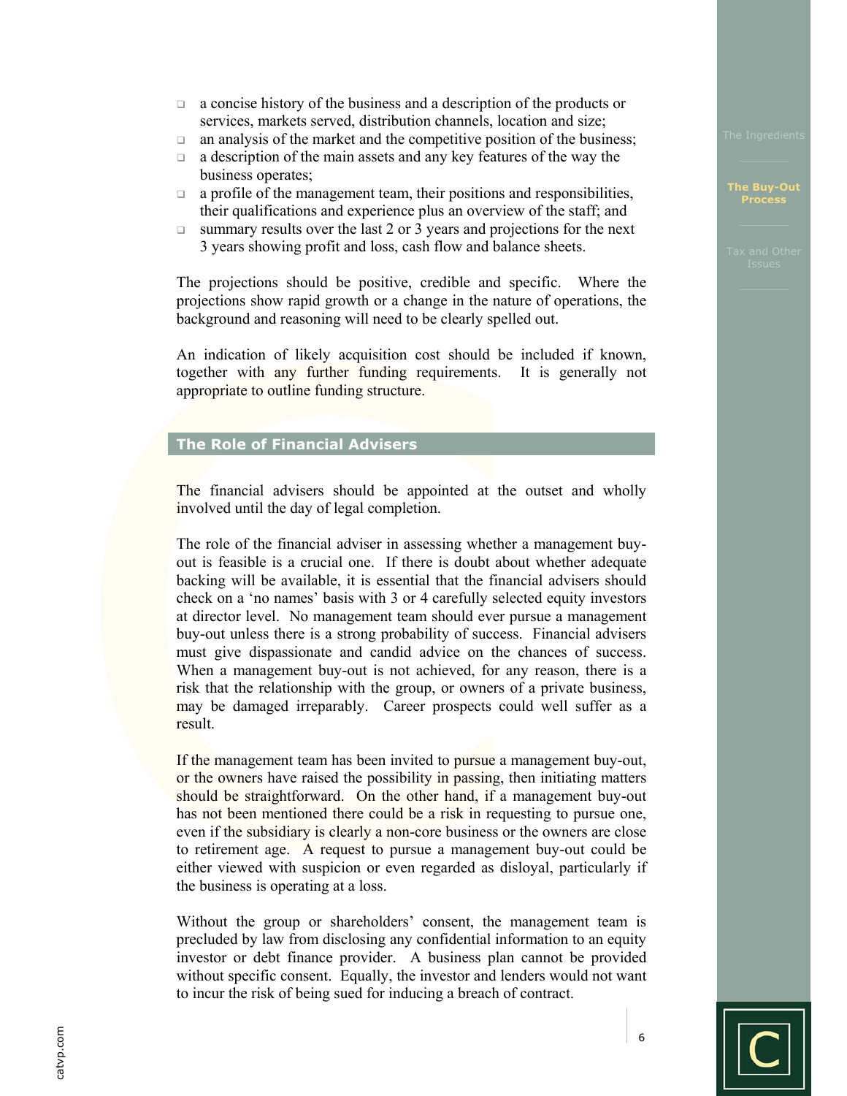- a concise history of the business and a description of the products or services, markets served, distribution channels, location and size;
- $\Box$  an analysis of the market and the competitive position of the business;
- $\Box$  a description of the main assets and any key features of the way the business operates;
- $\Box$  a profile of the management team, their positions and responsibilities, their qualifications and experience plus an overview of the staff; and
- $\Box$  summary results over the last 2 or 3 years and projections for the next 3 years showing profit and loss, cash flow and balance sheets.

The projections should be positive, credible and specific. Where the projections show rapid growth or a change in the nature of operations, the background and reasoning will need to be clearly spelled out.

An indication of likely acquisition cost should be included if known, together with any further funding requirements. It is generally not appropriate to outline funding structure.

# **The Role of Financial Advisers**

The financial advisers should be appointed at the outset and wholly involved until the day of legal completion.

The role of the financial adviser in assessing whether a management buyout is feasible is a crucial one. If there is doubt about whether adequate backing will be available, it is essential that the financial advisers should check on a 'no names' basis with 3 or 4 carefully selected equity investors at director level. No management team should ever pursue a management buy-out unless there is a strong probability of success. Financial advisers must give dispassionate and candid advice on the chances of success. When a management buy-out is not achieved, for any reason, there is a risk that the relationship with the group, or owners of a private business, may be damaged irreparably. Career prospects could well suffer as a result.

If the management team has been invited to pursue a management buy-out, or the owners have raised the possibility in passing, then initiating matters should be straightforward. On the other hand, if a management buy-out has not been mentioned there could be a risk in requesting to pursue one, even if the subsidiary is clearly a non-core business or the owners are close to retirement age. A request to pursue a management buy-out could be either viewed with suspicion or even regarded as disloyal, particularly if the business is operating at a loss.

Without the group or shareholders' consent, the management team is precluded by law from disclosing any confidential information to an equity investor or debt finance provider. A business plan cannot be provided without specific consent. Equally, the investor and lenders would not want to incur the risk of being sued for inducing a breach of contract.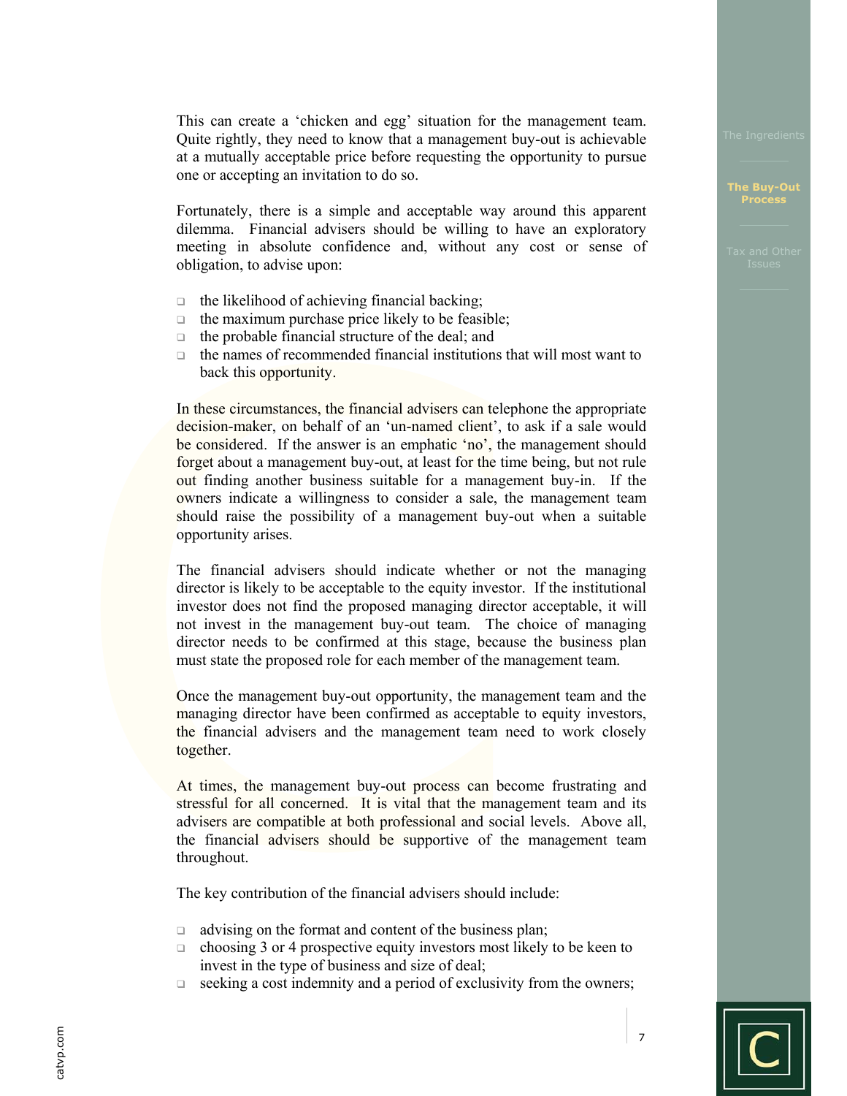This can create a 'chicken and egg' situation for the management team. Quite rightly, they need to know that a management buy-out is achievable at a mutually acceptable price before requesting the opportunity to pursue one or accepting an invitation to do so.

Fortunately, there is a simple and acceptable way around this apparent dilemma. Financial advisers should be willing to have an exploratory meeting in absolute confidence and, without any cost or sense of obligation, to advise upon:

- $\Box$  the likelihood of achieving financial backing;
- $\Box$  the maximum purchase price likely to be feasible;
- $\Box$  the probable financial structure of the deal; and
- $\Box$  the names of recommended financial institutions that will most want to back this opportunity.

In these circumstances, the financial advisers can telephone the appropriate decision-maker, on behalf of an 'un-named client', to ask if a sale would be considered. If the answer is an emphatic 'no', the management should forget about a management buy-out, at least for the time being, but not rule out finding another business suitable for a management buy-in. If the owners indicate a willingness to consider a sale, the management team should raise the possibility of a management buy-out when a suitable opportunity arises.

The financial advisers should indicate whether or not the managing director is likely to be acceptable to the equity investor. If the institutional investor does not find the proposed managing director acceptable, it will not invest in the management buy-out team. The choice of managing director needs to be confirmed at this stage, because the business plan must state the proposed role for each member of the management team.

Once the management buy-out opportunity, the management team and the managing director have been confirmed as acceptable to equity investors, the financial advisers and the management team need to work closely together.

At times, the management buy-out process can become frustrating and stressful for all concerned. It is vital that the management team and its advisers are compatible at both professional and social levels. Above all, the financial advisers should be supportive of the management team throughout.

The key contribution of the financial advisers should include:

- $\Box$  advising on the format and content of the business plan;
- $\Box$  choosing 3 or 4 prospective equity investors most likely to be keen to invest in the type of business and size of deal;
- $\Box$  seeking a cost indemnity and a period of exclusivity from the owners;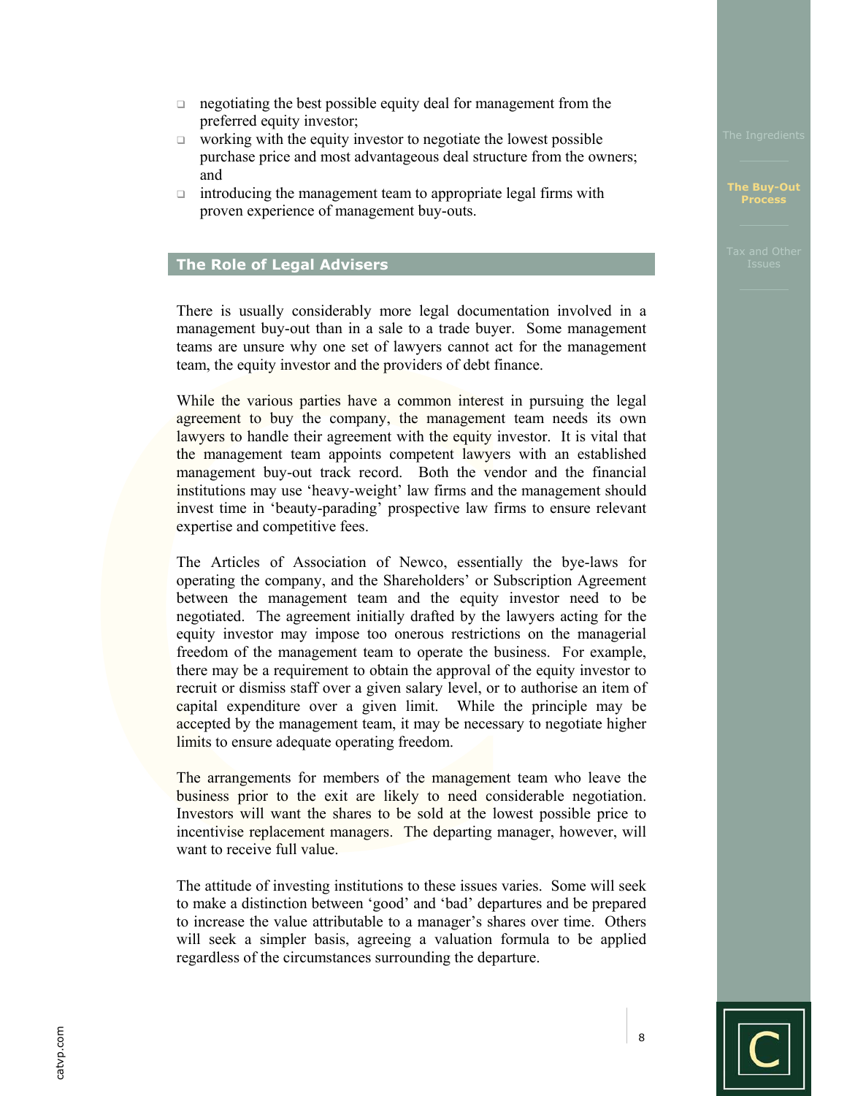- negotiating the best possible equity deal for management from the preferred equity investor;
- $\Box$  working with the equity investor to negotiate the lowest possible purchase price and most advantageous deal structure from the owners; and
- $\Box$  introducing the management team to appropriate legal firms with proven experience of management buy-outs.

# **The Role of Legal Advisers**

There is usually considerably more legal documentation involved in a management buy-out than in a sale to a trade buyer. Some management teams are unsure why one set of lawyers cannot act for the management team, the equity investor and the providers of debt finance.

While the various parties have a common interest in pursuing the legal agreement to buy the company, the management team needs its own lawyers to handle their agreement with the equity investor. It is vital that the management team appoints competent lawyers with an established management buy-out track record. Both the vendor and the financial institutions may use 'heavy-weight' law firms and the management should invest time in 'beauty-parading' prospective law firms to ensure relevant expertise and competitive fees.

The Articles of Association of Newco, essentially the bye-laws for operating the company, and the Shareholders' or Subscription Agreement between the management team and the equity investor need to be negotiated. The agreement initially drafted by the lawyers acting for the equity investor may impose too onerous restrictions on the managerial freedom of the management team to operate the business. For example, there may be a requirement to obtain the approval of the equity investor to recruit or dismiss staff over a given salary level, or to authorise an item of capital expenditure over a given limit. While the principle may be accepted by the management team, it may be necessary to negotiate higher limits to ensure adequate operating freedom.

The arrangements for members of the management team who leave the business prior to the exit are likely to need considerable negotiation. Investors will want the shares to be sold at the lowest possible price to incentivise replacement managers. The departing manager, however, will want to receive full value.

The attitude of investing institutions to these issues varies. Some will seek to make a distinction between 'good' and 'bad' departures and be prepared to increase the value attributable to a manager's shares over time. Others will seek a simpler basis, agreeing a valuation formula to be applied regardless of the circumstances surrounding the departure.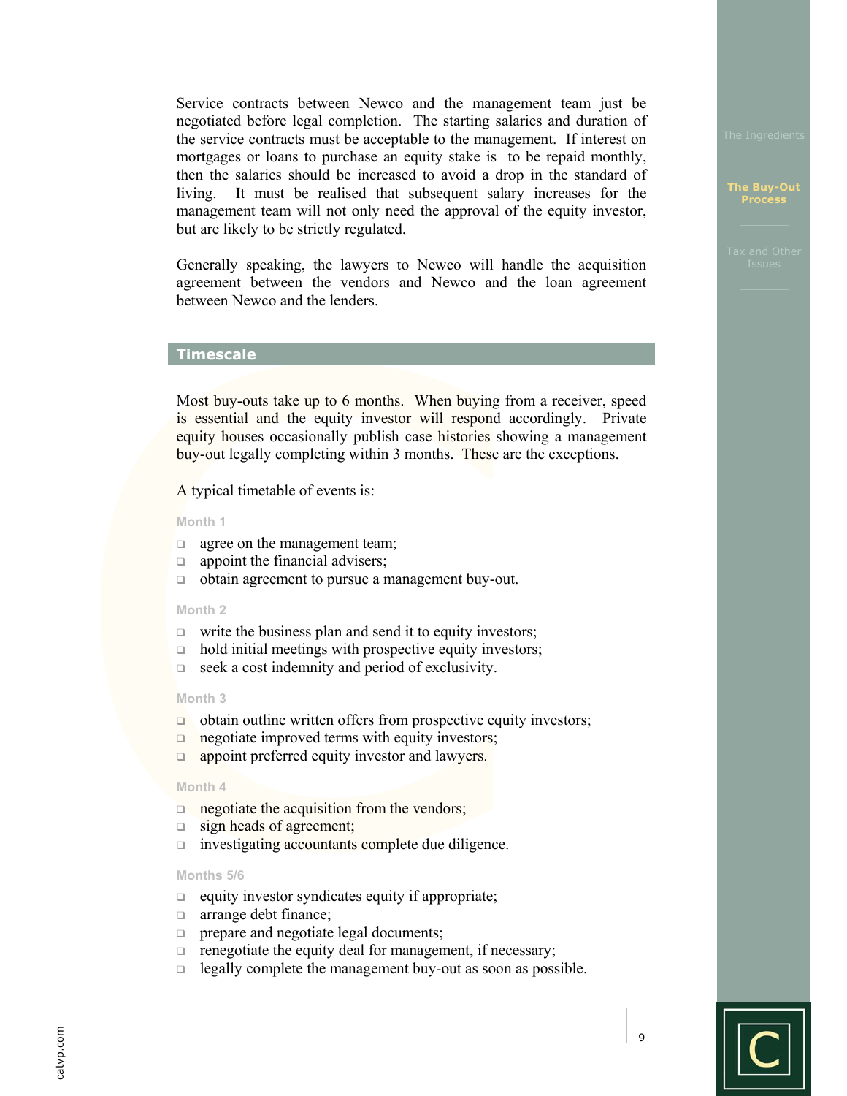Service contracts between Newco and the management team just be negotiated before legal completion. The starting salaries and duration of the service contracts must be acceptable to the management. If interest on mortgages or loans to purchase an equity stake is to be repaid monthly, then the salaries should be increased to avoid a drop in the standard of living. It must be realised that subsequent salary increases for the management team will not only need the approval of the equity investor, but are likely to be strictly regulated.

Generally speaking, the lawyers to Newco will handle the acquisition agreement between the vendors and Newco and the loan agreement between Newco and the lenders.

## **Timescale**

Most buy-outs take up to 6 months. When buying from a receiver, speed is essential and the equity investor will respond accordingly. Private equity houses occasionally publish case histories showing a management buy-out legally completing within 3 months. These are the exceptions.

A typical timetable of events is:

#### **Month 1**

- **a** agree on the management team;
- $\Box$  appoint the financial advisers;
- obtain agreement to pursue a management buy-out.

#### **Month 2**

- $\Box$  write the business plan and send it to equity investors;
- $\Box$  hold initial meetings with prospective equity investors;
- $\Box$  seek a cost indemnity and period of exclusivity.

#### **Month 3**

- $\Box$  obtain outline written offers from prospective equity investors;
- $\Box$  negotiate improved terms with equity investors;
- $\Box$  appoint preferred equity investor and lawyers.

#### **Month 4**

- $\Box$  negotiate the acquisition from the vendors;
- sign heads of agreement;
- investigating accountants complete due diligence.

### **Months 5/6**

- $\Box$  equity investor syndicates equity if appropriate;
- **a** arrange debt finance;
- **prepare and negotiate legal documents;**
- $\Box$  renegotiate the equity deal for management, if necessary;
- $\Box$  legally complete the management buy-out as soon as possible.

# **Process**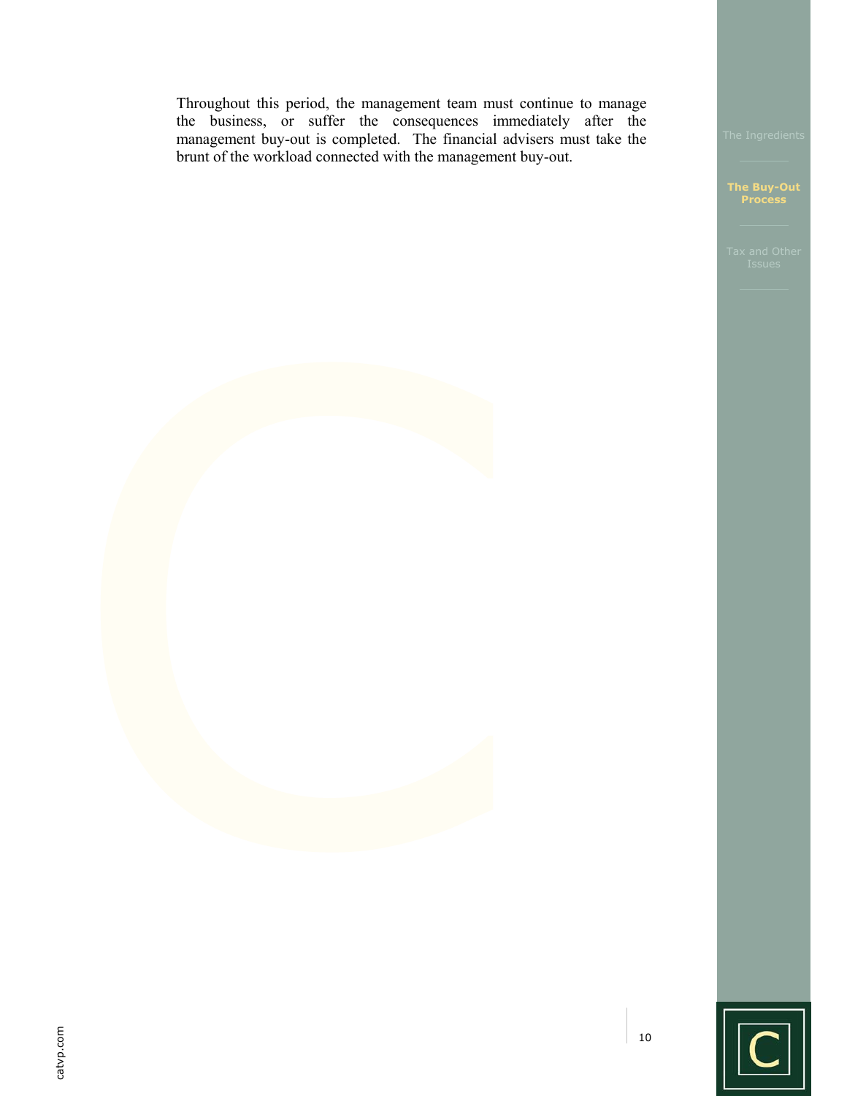Throughout this period, the management team must continue to manage the business, or suffer the consequences immediately after the management buy-out is completed. The financial advisers must take the brunt of the workload connected with the management buy-out.

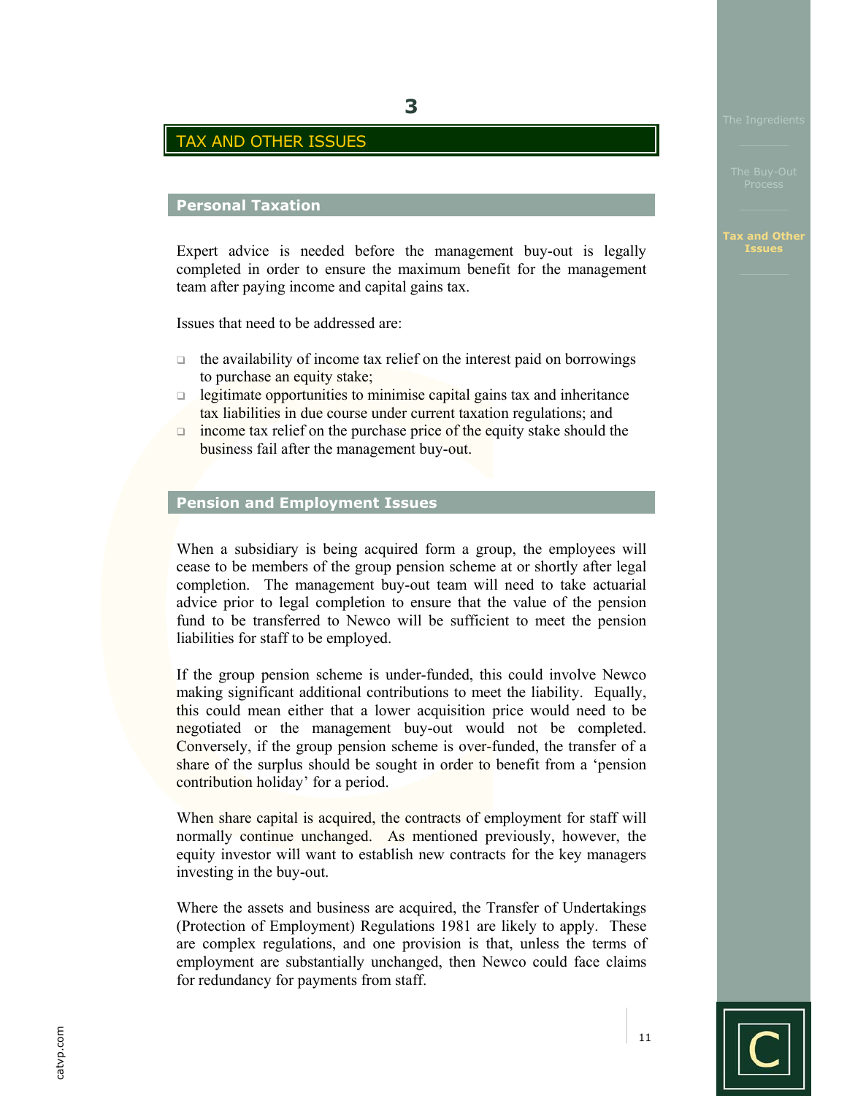# TAX AND OTHER ISSUES

# **Personal Taxation**

Expert advice is needed before the management buy-out is legally completed in order to ensure the maximum benefit for the management team after paying income and capital gains tax.

Issues that need to be addressed are:

- $\Box$  the availability of income tax relief on the interest paid on borrowings to purchase an equity stake;
- $\Box$  legitimate opportunities to minimise capital gains tax and inheritance tax liabilities in due course under current taxation regulations; and
- $\Box$  income tax relief on the purchase price of the equity stake should the business fail after the management buy-out.

# **Pension and Employment Issues**

When a subsidiary is being acquired form a group, the employees will cease to be members of the group pension scheme at or shortly after legal completion. The management buy-out team will need to take actuarial advice prior to legal completion to ensure that the value of the pension fund to be transferred to Newco will be sufficient to meet the pension liabilities for staff to be employed.

If the group pension scheme is under-funded, this could involve Newco making significant additional contributions to meet the liability. Equally, this could mean either that a lower acquisition price would need to be negotiated or the management buy-out would not be completed. Conversely, if the group pension scheme is over-funded, the transfer of a share of the surplus should be sought in order to benefit from a 'pension contribution holiday' for a period.

When share capital is acquired, the contracts of employment for staff will normally continue unchanged. As mentioned previously, however, the equity investor will want to establish new contracts for the key managers investing in the buy-out.

Where the assets and business are acquired, the Transfer of Undertakings (Protection of Employment) Regulations 1981 are likely to apply. These are complex regulations, and one provision is that, unless the terms of employment are substantially unchanged, then Newco could face claims for redundancy for payments from staff.

catvp.com catvp.com **Issues**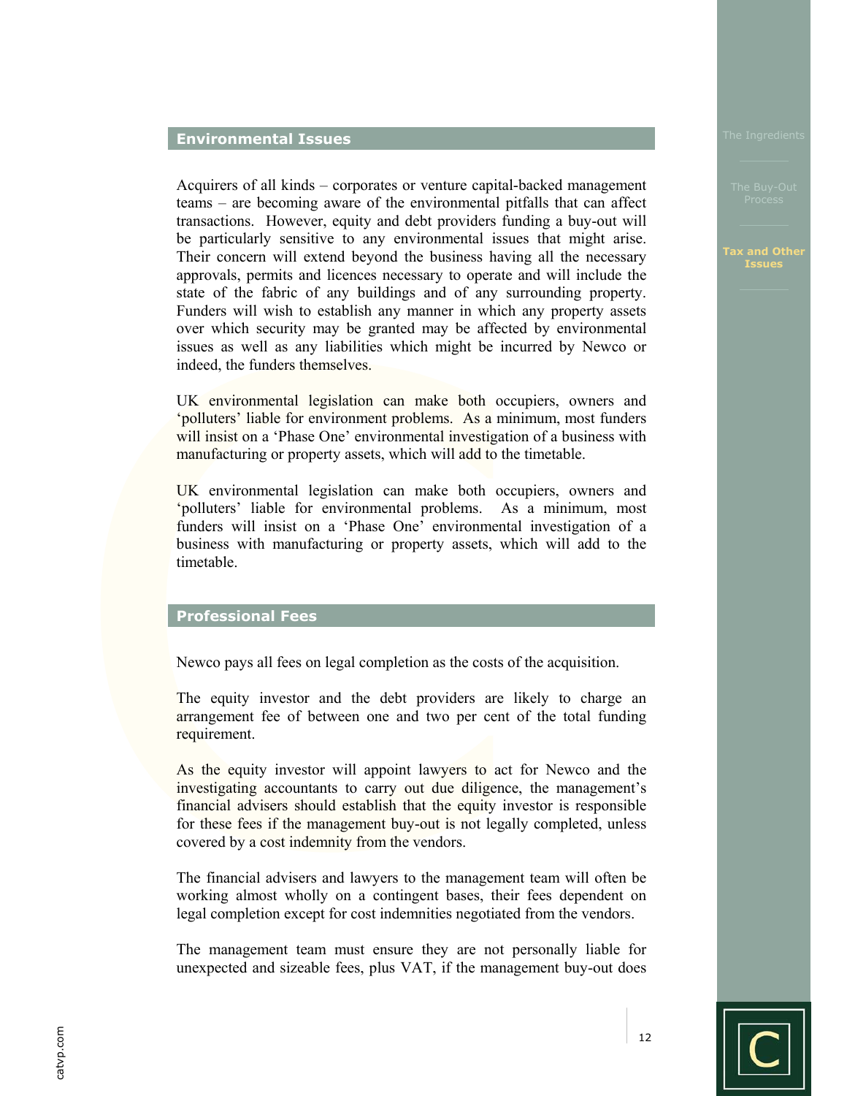### **Environmental Issues**

Acquirers of all kinds – corporates or venture capital-backed management teams – are becoming aware of the environmental pitfalls that can affect transactions. However, equity and debt providers funding a buy-out will be particularly sensitive to any environmental issues that might arise. Their concern will extend beyond the business having all the necessary approvals, permits and licences necessary to operate and will include the state of the fabric of any buildings and of any surrounding property. Funders will wish to establish any manner in which any property assets over which security may be granted may be affected by environmental issues as well as any liabilities which might be incurred by Newco or indeed, the funders themselves.

UK environmental legislation can make both occupiers, owners and 'polluters' liable for environment problems. As a minimum, most funders will insist on a 'Phase One' environmental investigation of a business with manufacturing or property assets, which will add to the timetable.

UK environmental legislation can make both occupiers, owners and 'polluters' liable for environmental problems. As a minimum, most funders will insist on a 'Phase One' environmental investigation of a business with manufacturing or property assets, which will add to the timetable.

# **Professional Fees**

Newco pays all fees on legal completion as the costs of the acquisition.

The equity investor and the debt providers are likely to charge an arrangement fee of between one and two per cent of the total funding requirement.

As the equity investor will appoint lawyers to act for Newco and the investigating accountants to carry out due diligence, the management's financial advisers should establish that the equity investor is responsible for these fees if the management buy-out is not legally completed, unless covered by a cost indemnity from the vendors.

The financial advisers and lawyers to the management team will often be working almost wholly on a contingent bases, their fees dependent on legal completion except for cost indemnities negotiated from the vendors.

The management team must ensure they are not personally liable for unexpected and sizeable fees, plus VAT, if the management buy-out does

#### **Tax and Other Issues**